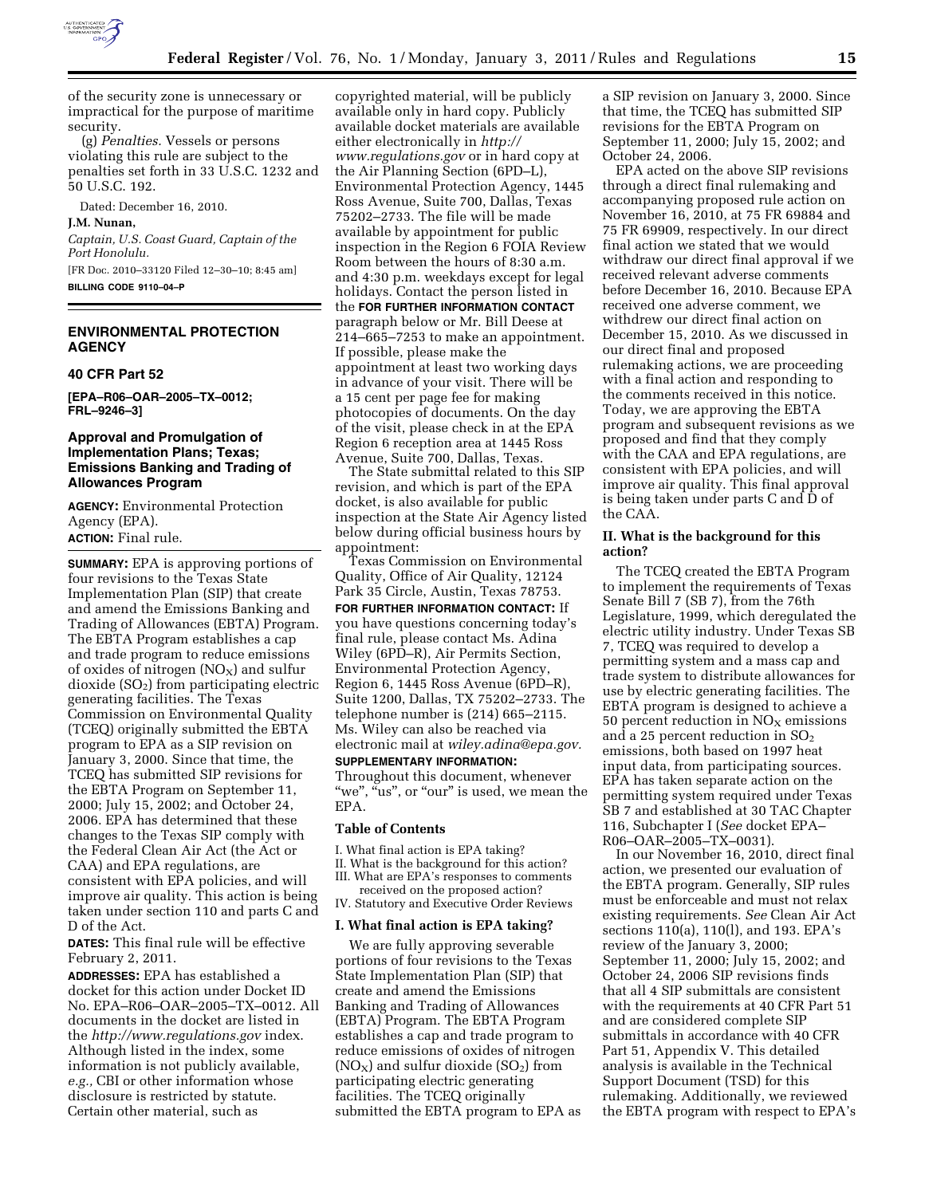

of the security zone is unnecessary or impractical for the purpose of maritime security.

(g) *Penalties.* Vessels or persons violating this rule are subject to the penalties set forth in 33 U.S.C. 1232 and 50 U.S.C. 192.

Dated: December 16, 2010.

## **J.M. Nunan,**

*Captain, U.S. Coast Guard, Captain of the Port Honolulu.* 

[FR Doc. 2010–33120 Filed 12–30–10; 8:45 am]

**BILLING CODE 9110–04–P** 

# **ENVIRONMENTAL PROTECTION AGENCY**

## **40 CFR Part 52**

**[EPA–R06–OAR–2005–TX–0012; FRL–9246–3]** 

## **Approval and Promulgation of Implementation Plans; Texas; Emissions Banking and Trading of Allowances Program**

**AGENCY:** Environmental Protection Agency (EPA). **ACTION:** Final rule.

**SUMMARY:** EPA is approving portions of four revisions to the Texas State Implementation Plan (SIP) that create and amend the Emissions Banking and Trading of Allowances (EBTA) Program. The EBTA Program establishes a cap and trade program to reduce emissions of oxides of nitrogen  $(NO<sub>X</sub>)$  and sulfur  $divide (SO<sub>2</sub>)$  from participating electric generating facilities. The Texas Commission on Environmental Quality (TCEQ) originally submitted the EBTA program to EPA as a SIP revision on January 3, 2000. Since that time, the TCEQ has submitted SIP revisions for the EBTA Program on September 11, 2000; July 15, 2002; and October 24, 2006. EPA has determined that these changes to the Texas SIP comply with the Federal Clean Air Act (the Act or CAA) and EPA regulations, are consistent with EPA policies, and will improve air quality. This action is being taken under section 110 and parts C and D of the Act.

**DATES:** This final rule will be effective February 2, 2011.

**ADDRESSES:** EPA has established a docket for this action under Docket ID No. EPA–R06–OAR–2005–TX–0012. All documents in the docket are listed in the *http://www.regulations.gov* index. Although listed in the index, some information is not publicly available, *e.g.,* CBI or other information whose disclosure is restricted by statute. Certain other material, such as

copyrighted material, will be publicly available only in hard copy. Publicly available docket materials are available either electronically in *http:// www.regulations.gov* or in hard copy at the Air Planning Section (6PD–L), Environmental Protection Agency, 1445 Ross Avenue, Suite 700, Dallas, Texas 75202–2733. The file will be made available by appointment for public inspection in the Region 6 FOIA Review Room between the hours of 8:30 a.m. and 4:30 p.m. weekdays except for legal holidays. Contact the person listed in the **FOR FURTHER INFORMATION CONTACT** paragraph below or Mr. Bill Deese at 214–665–7253 to make an appointment. If possible, please make the appointment at least two working days in advance of your visit. There will be a 15 cent per page fee for making photocopies of documents. On the day of the visit, please check in at the EPA Region 6 reception area at 1445 Ross Avenue, Suite 700, Dallas, Texas.

The State submittal related to this SIP revision, and which is part of the EPA docket, is also available for public inspection at the State Air Agency listed below during official business hours by appointment:

Texas Commission on Environmental Quality, Office of Air Quality, 12124 Park 35 Circle, Austin, Texas 78753.

**FOR FURTHER INFORMATION CONTACT:** If you have questions concerning today's final rule, please contact Ms. Adina Wiley (6PD–R), Air Permits Section, Environmental Protection Agency, Region 6, 1445 Ross Avenue (6PD–R), Suite 1200, Dallas, TX 75202–2733. The telephone number is (214) 665–2115. Ms. Wiley can also be reached via electronic mail at *wiley.adina@epa.gov.*  **SUPPLEMENTARY INFORMATION:** 

Throughout this document, whenever "we", "us", or "our" is used, we mean the EPA.

## **Table of Contents**

I. What final action is EPA taking?

II. What is the background for this action? III. What are EPA's responses to comments

received on the proposed action? IV. Statutory and Executive Order Reviews

#### **I. What final action is EPA taking?**

We are fully approving severable portions of four revisions to the Texas State Implementation Plan (SIP) that create and amend the Emissions Banking and Trading of Allowances (EBTA) Program. The EBTA Program establishes a cap and trade program to reduce emissions of oxides of nitrogen  $NO<sub>X</sub>$ ) and sulfur dioxide  $SO<sub>2</sub>$ ) from participating electric generating facilities. The TCEQ originally submitted the EBTA program to EPA as a SIP revision on January 3, 2000. Since that time, the TCEQ has submitted SIP revisions for the EBTA Program on September 11, 2000; July 15, 2002; and October 24, 2006.

EPA acted on the above SIP revisions through a direct final rulemaking and accompanying proposed rule action on November 16, 2010, at 75 FR 69884 and 75 FR 69909, respectively. In our direct final action we stated that we would withdraw our direct final approval if we received relevant adverse comments before December 16, 2010. Because EPA received one adverse comment, we withdrew our direct final action on December 15, 2010. As we discussed in our direct final and proposed rulemaking actions, we are proceeding with a final action and responding to the comments received in this notice. Today, we are approving the EBTA program and subsequent revisions as we proposed and find that they comply with the CAA and EPA regulations, are consistent with EPA policies, and will improve air quality. This final approval is being taken under parts C and D of the CAA.

## **II. What is the background for this action?**

The TCEQ created the EBTA Program to implement the requirements of Texas Senate Bill 7 (SB 7), from the 76th Legislature, 1999, which deregulated the electric utility industry. Under Texas SB 7, TCEQ was required to develop a permitting system and a mass cap and trade system to distribute allowances for use by electric generating facilities. The EBTA program is designed to achieve a 50 percent reduction in  $NO<sub>x</sub>$  emissions and a 25 percent reduction in  $SO<sub>2</sub>$ emissions, both based on 1997 heat input data, from participating sources. EPA has taken separate action on the permitting system required under Texas SB 7 and established at 30 TAC Chapter 116, Subchapter I (*See* docket EPA– R06–OAR–2005–TX–0031).

In our November 16, 2010, direct final action, we presented our evaluation of the EBTA program. Generally, SIP rules must be enforceable and must not relax existing requirements. *See* Clean Air Act sections 110(a), 110(l), and 193. EPA's review of the January 3, 2000; September 11, 2000; July 15, 2002; and October 24, 2006 SIP revisions finds that all 4 SIP submittals are consistent with the requirements at 40 CFR Part 51 and are considered complete SIP submittals in accordance with 40 CFR Part 51, Appendix V. This detailed analysis is available in the Technical Support Document (TSD) for this rulemaking. Additionally, we reviewed the EBTA program with respect to EPA's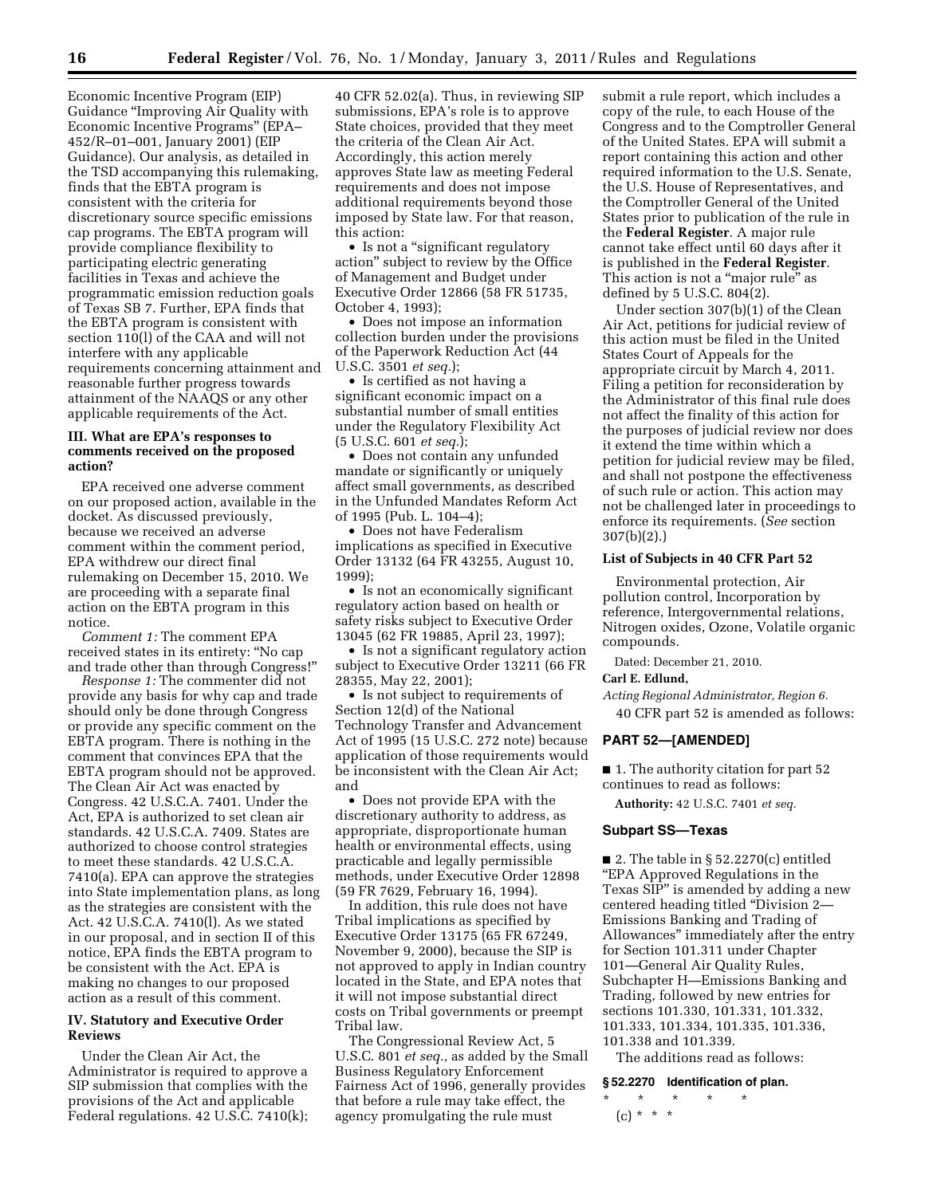Economic Incentive Program (EIP) Guidance ''Improving Air Quality with Economic Incentive Programs'' (EPA– 452/R–01–001, January 2001) (EIP Guidance). Our analysis, as detailed in the TSD accompanying this rulemaking, finds that the EBTA program is consistent with the criteria for discretionary source specific emissions cap programs. The EBTA program will provide compliance flexibility to participating electric generating facilities in Texas and achieve the programmatic emission reduction goals of Texas SB 7. Further, EPA finds that the EBTA program is consistent with section 110(l) of the CAA and will not interfere with any applicable requirements concerning attainment and reasonable further progress towards attainment of the NAAQS or any other applicable requirements of the Act.

## **III. What are EPA's responses to comments received on the proposed action?**

EPA received one adverse comment on our proposed action, available in the docket. As discussed previously, because we received an adverse comment within the comment period, EPA withdrew our direct final rulemaking on December 15, 2010. We are proceeding with a separate final action on the EBTA program in this notice.

*Comment 1:* The comment EPA received states in its entirety: ''No cap and trade other than through Congress!''

*Response 1:* The commenter did not provide any basis for why cap and trade should only be done through Congress or provide any specific comment on the EBTA program. There is nothing in the comment that convinces EPA that the EBTA program should not be approved. The Clean Air Act was enacted by Congress. 42 U.S.C.A. 7401. Under the Act, EPA is authorized to set clean air standards. 42 U.S.C.A. 7409. States are authorized to choose control strategies to meet these standards. 42 U.S.C.A. 7410(a). EPA can approve the strategies into State implementation plans, as long as the strategies are consistent with the Act. 42 U.S.C.A. 7410(l). As we stated in our proposal, and in section II of this notice, EPA finds the EBTA program to be consistent with the Act. EPA is making no changes to our proposed action as a result of this comment.

## **IV. Statutory and Executive Order Reviews**

Under the Clean Air Act, the Administrator is required to approve a SIP submission that complies with the provisions of the Act and applicable Federal regulations. 42 U.S.C. 7410(k);

40 CFR 52.02(a). Thus, in reviewing SIP submissions, EPA's role is to approve State choices, provided that they meet the criteria of the Clean Air Act. Accordingly, this action merely approves State law as meeting Federal requirements and does not impose additional requirements beyond those imposed by State law. For that reason, this action:

• Is not a "significant regulatory action'' subject to review by the Office of Management and Budget under Executive Order 12866 (58 FR 51735, October 4, 1993);

• Does not impose an information collection burden under the provisions of the Paperwork Reduction Act (44 U.S.C. 3501 *et seq.*);

• Is certified as not having a significant economic impact on a substantial number of small entities under the Regulatory Flexibility Act (5 U.S.C. 601 *et seq.*);

• Does not contain any unfunded mandate or significantly or uniquely affect small governments, as described in the Unfunded Mandates Reform Act of 1995 (Pub. L. 104–4);

• Does not have Federalism implications as specified in Executive Order 13132 (64 FR 43255, August 10, 1999);

• Is not an economically significant regulatory action based on health or safety risks subject to Executive Order 13045 (62 FR 19885, April 23, 1997);

• Is not a significant regulatory action subject to Executive Order 13211 (66 FR 28355, May 22, 2001);

• Is not subject to requirements of Section 12(d) of the National Technology Transfer and Advancement Act of 1995 (15 U.S.C. 272 note) because application of those requirements would be inconsistent with the Clean Air Act; and

• Does not provide EPA with the discretionary authority to address, as appropriate, disproportionate human health or environmental effects, using practicable and legally permissible methods, under Executive Order 12898 (59 FR 7629, February 16, 1994).

In addition, this rule does not have Tribal implications as specified by Executive Order 13175 (65 FR 67249, November 9, 2000), because the SIP is not approved to apply in Indian country located in the State, and EPA notes that it will not impose substantial direct costs on Tribal governments or preempt Tribal law.

The Congressional Review Act, 5 U.S.C. 801 *et seq.,* as added by the Small Business Regulatory Enforcement Fairness Act of 1996, generally provides that before a rule may take effect, the agency promulgating the rule must

submit a rule report, which includes a copy of the rule, to each House of the Congress and to the Comptroller General of the United States. EPA will submit a report containing this action and other required information to the U.S. Senate, the U.S. House of Representatives, and the Comptroller General of the United States prior to publication of the rule in the **Federal Register**. A major rule cannot take effect until 60 days after it is published in the **Federal Register**. This action is not a "major rule" as defined by 5 U.S.C. 804(2).

Under section 307(b)(1) of the Clean Air Act, petitions for judicial review of this action must be filed in the United States Court of Appeals for the appropriate circuit by March 4, 2011. Filing a petition for reconsideration by the Administrator of this final rule does not affect the finality of this action for the purposes of judicial review nor does it extend the time within which a petition for judicial review may be filed, and shall not postpone the effectiveness of such rule or action. This action may not be challenged later in proceedings to enforce its requirements. (*See* section 307(b)(2).)

#### **List of Subjects in 40 CFR Part 52**

Environmental protection, Air pollution control, Incorporation by reference, Intergovernmental relations, Nitrogen oxides, Ozone, Volatile organic compounds.

Dated: December 21, 2010.

# **Carl E. Edlund,**

*Acting Regional Administrator, Region 6.*  40 CFR part 52 is amended as follows:

#### **PART 52—[AMENDED]**

■ 1. The authority citation for part 52 continues to read as follows:

**Authority:** 42 U.S.C. 7401 *et seq.* 

#### **Subpart SS—Texas**

■ 2. The table in § 52.2270(c) entitled ''EPA Approved Regulations in the Texas SIP'' is amended by adding a new centered heading titled ''Division 2— Emissions Banking and Trading of Allowances'' immediately after the entry for Section 101.311 under Chapter 101—General Air Quality Rules, Subchapter H—Emissions Banking and Trading, followed by new entries for sections 101.330, 101.331, 101.332, 101.333, 101.334, 101.335, 101.336, 101.338 and 101.339.

The additions read as follows:

**§ 52.2270 Identification of plan.**  \* \* \* \* \* (c) \* \* \*